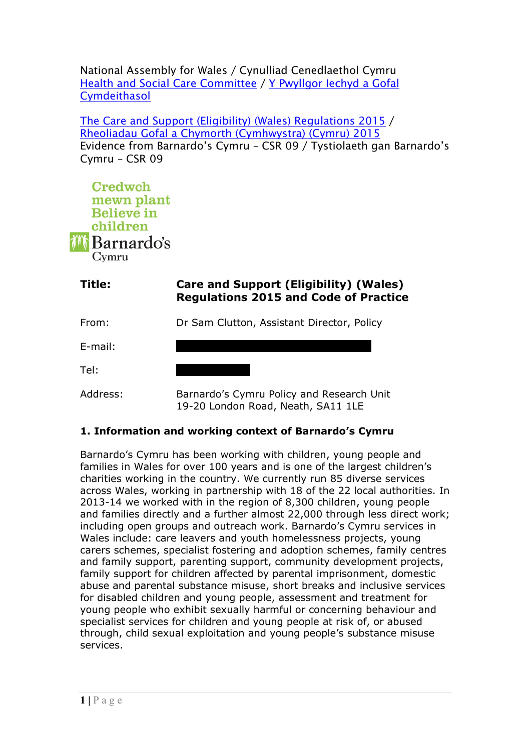National Assembly for Wales / Cynulliad Cenedlaethol Cymru Health and Social Care [Committee](http://www.senedd.assembly.wales/mgCommitteeDetails.aspx?ID=227) / Y [Pwyllgor](http://www.senedd.cynulliad.cymru/mgCommitteeDetails.aspx?ID=227) Iechyd a Gofal **[Cymdeithasol](http://www.senedd.cynulliad.cymru/mgCommitteeDetails.aspx?ID=227)** 

The Care and Support (Eligibility) (Wales) [Regulations](http://www.senedd.assembly.wales/mgConsultationDisplay.aspx?ID=177) 2015 / Rheoliadau Gofal a Chymorth [\(Cymhwystra\)](http://www.senedd.cynulliad.cymru/mgConsultationDisplay.aspx?ID=177) (Cymru) 2015 Evidence from Barnardo's Cymru – CSR 09 / Tystiolaeth gan Barnardo's Cymru – CSR 09



| Title:   | Care and Support (Eligibility) (Wales)<br><b>Regulations 2015 and Code of Practice</b> |
|----------|----------------------------------------------------------------------------------------|
| From:    | Dr Sam Clutton, Assistant Director, Policy                                             |
| E-mail:  |                                                                                        |
| Tel:     |                                                                                        |
| Address: | Barnardo's Cymru Policy and Research Unit                                              |

## **1. Information and working context of Barnardo's Cymru**

Barnardo's Cymru has been working with children, young people and families in Wales for over 100 years and is one of the largest children's charities working in the country. We currently run 85 diverse services across Wales, working in partnership with 18 of the 22 local authorities. In 2013-14 we worked with in the region of 8,300 children, young people and families directly and a further almost 22,000 through less direct work; including open groups and outreach work. Barnardo's Cymru services in Wales include: care leavers and youth homelessness projects, young carers schemes, specialist fostering and adoption schemes, family centres and family support, parenting support, community development projects, family support for children affected by parental imprisonment, domestic abuse and parental substance misuse, short breaks and inclusive services for disabled children and young people, assessment and treatment for young people who exhibit sexually harmful or concerning behaviour and specialist services for children and young people at risk of, or abused through, child sexual exploitation and young people's substance misuse services.

19-20 London Road, Neath, SA11 1LE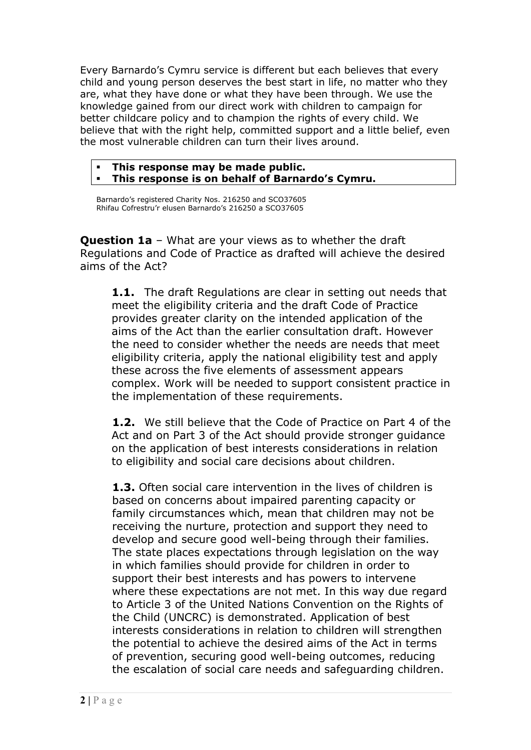Every Barnardo's Cymru service is different but each believes that every child and young person deserves the best start in life, no matter who they are, what they have done or what they have been through. We use the knowledge gained from our direct work with children to campaign for better childcare policy and to champion the rights of every child. We believe that with the right help, committed support and a little belief, even the most vulnerable children can turn their lives around.

## **This response may be made public. This response is on behalf of Barnardo's Cymru.**

Barnardo's registered Charity Nos. 216250 and SCO37605 Rhifau Cofrestru'r elusen Barnardo's 216250 a SCO37605

**Question 1a** – What are your views as to whether the draft Regulations and Code of Practice as drafted will achieve the desired aims of the Act?

**1.1.** The draft Regulations are clear in setting out needs that meet the eligibility criteria and the draft Code of Practice provides greater clarity on the intended application of the aims of the Act than the earlier consultation draft. However the need to consider whether the needs are needs that meet eligibility criteria, apply the national eligibility test and apply these across the five elements of assessment appears complex. Work will be needed to support consistent practice in the implementation of these requirements.

**1.2.** We still believe that the Code of Practice on Part 4 of the Act and on Part 3 of the Act should provide stronger guidance on the application of best interests considerations in relation to eligibility and social care decisions about children.

**1.3.** Often social care intervention in the lives of children is based on concerns about impaired parenting capacity or family circumstances which, mean that children may not be receiving the nurture, protection and support they need to develop and secure good well-being through their families. The state places expectations through legislation on the way in which families should provide for children in order to support their best interests and has powers to intervene where these expectations are not met. In this way due regard to Article 3 of the United Nations Convention on the Rights of the Child (UNCRC) is demonstrated. Application of best interests considerations in relation to children will strengthen the potential to achieve the desired aims of the Act in terms of prevention, securing good well-being outcomes, reducing the escalation of social care needs and safeguarding children.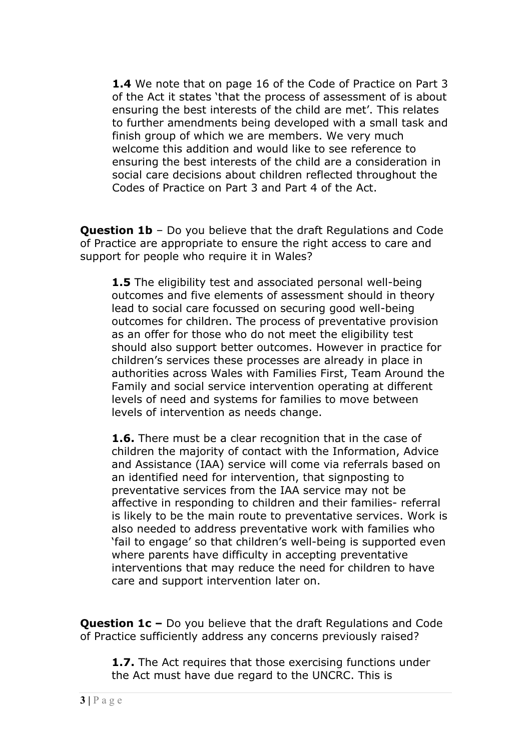**1.4** We note that on page 16 of the Code of Practice on Part 3 of the Act it states 'that the process of assessment of is about ensuring the best interests of the child are met'. This relates to further amendments being developed with a small task and finish group of which we are members. We very much welcome this addition and would like to see reference to ensuring the best interests of the child are a consideration in social care decisions about children reflected throughout the Codes of Practice on Part 3 and Part 4 of the Act.

**Question 1b** – Do you believe that the draft Regulations and Code of Practice are appropriate to ensure the right access to care and support for people who require it in Wales?

**1.5** The eligibility test and associated personal well-being outcomes and five elements of assessment should in theory lead to social care focussed on securing good well-being outcomes for children. The process of preventative provision as an offer for those who do not meet the eligibility test should also support better outcomes. However in practice for children's services these processes are already in place in authorities across Wales with Families First, Team Around the Family and social service intervention operating at different levels of need and systems for families to move between levels of intervention as needs change.

**1.6.** There must be a clear recognition that in the case of children the majority of contact with the Information, Advice and Assistance (IAA) service will come via referrals based on an identified need for intervention, that signposting to preventative services from the IAA service may not be affective in responding to children and their families- referral is likely to be the main route to preventative services. Work is also needed to address preventative work with families who 'fail to engage' so that children's well-being is supported even where parents have difficulty in accepting preventative interventions that may reduce the need for children to have care and support intervention later on.

**Question 1c –** Do you believe that the draft Regulations and Code of Practice sufficiently address any concerns previously raised?

**1.7.** The Act requires that those exercising functions under the Act must have due regard to the UNCRC. This is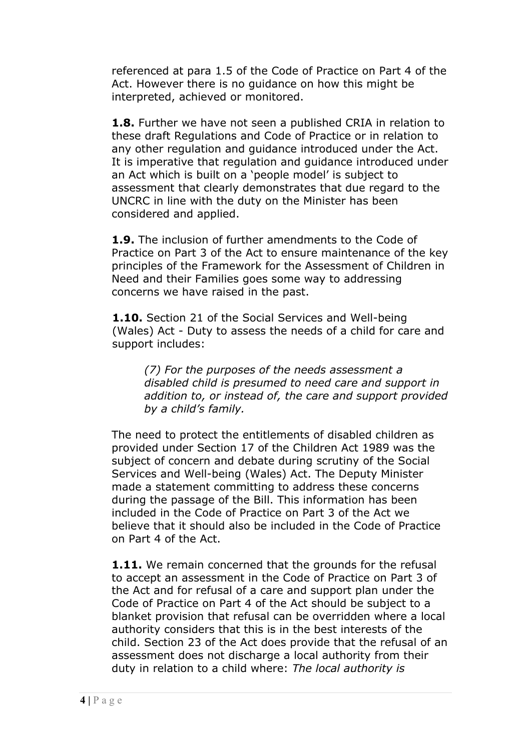referenced at para 1.5 of the Code of Practice on Part 4 of the Act. However there is no guidance on how this might be interpreted, achieved or monitored.

**1.8.** Further we have not seen a published CRIA in relation to these draft Regulations and Code of Practice or in relation to any other regulation and guidance introduced under the Act. It is imperative that regulation and guidance introduced under an Act which is built on a 'people model' is subject to assessment that clearly demonstrates that due regard to the UNCRC in line with the duty on the Minister has been considered and applied.

**1.9.** The inclusion of further amendments to the Code of Practice on Part 3 of the Act to ensure maintenance of the key principles of the Framework for the Assessment of Children in Need and their Families goes some way to addressing concerns we have raised in the past.

**1.10.** Section 21 of the Social Services and Well-being (Wales) Act - Duty to assess the needs of a child for care and support includes:

*(7) For the purposes of the needs assessment a disabled child is presumed to need care and support in addition to, or instead of, the care and support provided by a child's family.*

The need to protect the entitlements of disabled children as provided under Section 17 of the Children Act 1989 was the subject of concern and debate during scrutiny of the Social Services and Well-being (Wales) Act. The Deputy Minister made a statement committing to address these concerns during the passage of the Bill. This information has been included in the Code of Practice on Part 3 of the Act we believe that it should also be included in the Code of Practice on Part 4 of the Act.

**1.11.** We remain concerned that the grounds for the refusal to accept an assessment in the Code of Practice on Part 3 of the Act and for refusal of a care and support plan under the Code of Practice on Part 4 of the Act should be subject to a blanket provision that refusal can be overridden where a local authority considers that this is in the best interests of the child. Section 23 of the Act does provide that the refusal of an assessment does not discharge a local authority from their duty in relation to a child where: *The local authority is*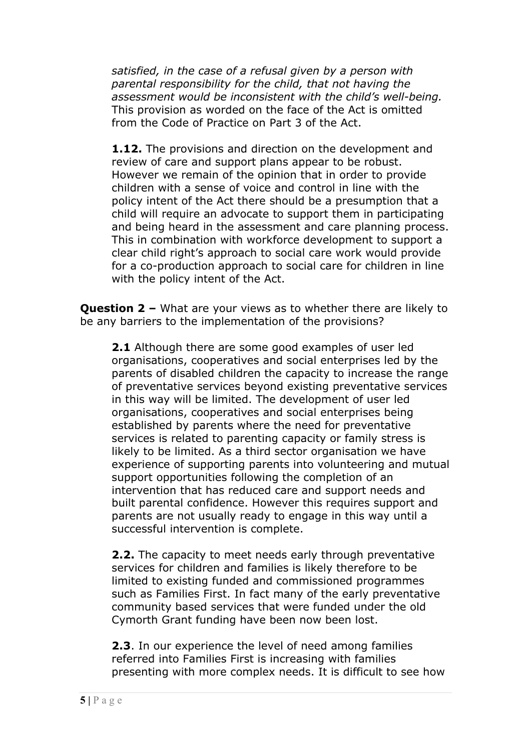*satisfied, in the case of a refusal given by a person with parental responsibility for the child, that not having the assessment would be inconsistent with the child's well-being.* This provision as worded on the face of the Act is omitted from the Code of Practice on Part 3 of the Act.

**1.12.** The provisions and direction on the development and review of care and support plans appear to be robust. However we remain of the opinion that in order to provide children with a sense of voice and control in line with the policy intent of the Act there should be a presumption that a child will require an advocate to support them in participating and being heard in the assessment and care planning process. This in combination with workforce development to support a clear child right's approach to social care work would provide for a co-production approach to social care for children in line with the policy intent of the Act.

**Question 2 –** What are your views as to whether there are likely to be any barriers to the implementation of the provisions?

**2.1** Although there are some good examples of user led organisations, cooperatives and social enterprises led by the parents of disabled children the capacity to increase the range of preventative services beyond existing preventative services in this way will be limited. The development of user led organisations, cooperatives and social enterprises being established by parents where the need for preventative services is related to parenting capacity or family stress is likely to be limited. As a third sector organisation we have experience of supporting parents into volunteering and mutual support opportunities following the completion of an intervention that has reduced care and support needs and built parental confidence. However this requires support and parents are not usually ready to engage in this way until a successful intervention is complete.

**2.2.** The capacity to meet needs early through preventative services for children and families is likely therefore to be limited to existing funded and commissioned programmes such as Families First. In fact many of the early preventative community based services that were funded under the old Cymorth Grant funding have been now been lost.

**2.3**. In our experience the level of need among families referred into Families First is increasing with families presenting with more complex needs. It is difficult to see how